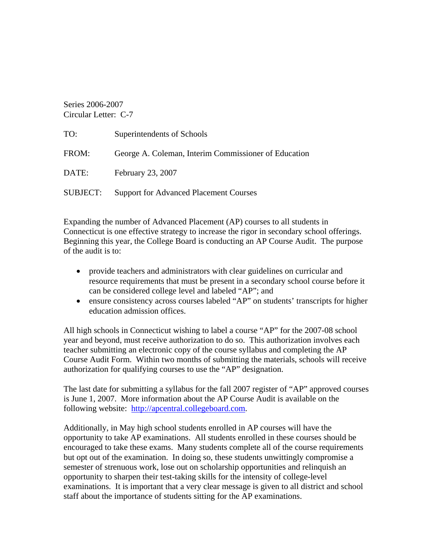Series 2006-2007 Circular Letter: C-7

| TO:      | Superintendents of Schools                           |
|----------|------------------------------------------------------|
| FROM:    | George A. Coleman, Interim Commissioner of Education |
| DATE:    | February 23, 2007                                    |
| SUBJECT: | <b>Support for Advanced Placement Courses</b>        |

Expanding the number of Advanced Placement (AP) courses to all students in Connecticut is one effective strategy to increase the rigor in secondary school offerings. Beginning this year, the College Board is conducting an AP Course Audit. The purpose of the audit is to:

- provide teachers and administrators with clear guidelines on curricular and resource requirements that must be present in a secondary school course before it can be considered college level and labeled "AP"; and
- ensure consistency across courses labeled "AP" on students' transcripts for higher education admission offices.

All high schools in Connecticut wishing to label a course "AP" for the 2007-08 school year and beyond, must receive authorization to do so. This authorization involves each teacher submitting an electronic copy of the course syllabus and completing the AP Course Audit Form. Within two months of submitting the materials, schools will receive authorization for qualifying courses to use the "AP" designation.

The last date for submitting a syllabus for the fall 2007 register of "AP" approved courses is June 1, 2007. More information about the AP Course Audit is available on the following website: [http://apcentral.collegeboard.com.](http://apcentral.collegeboard.com/)

Additionally, in May high school students enrolled in AP courses will have the opportunity to take AP examinations. All students enrolled in these courses should be encouraged to take these exams. Many students complete all of the course requirements but opt out of the examination. In doing so, these students unwittingly compromise a semester of strenuous work, lose out on scholarship opportunities and relinquish an opportunity to sharpen their test-taking skills for the intensity of college-level examinations. It is important that a very clear message is given to all district and school staff about the importance of students sitting for the AP examinations.